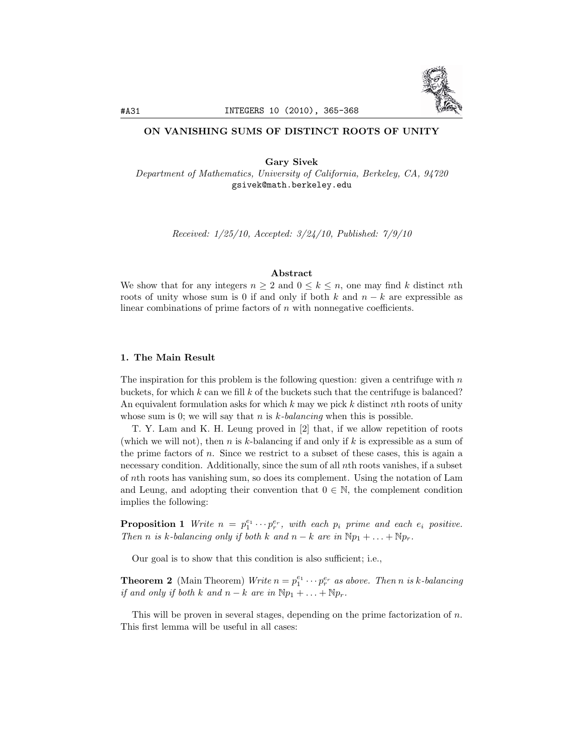

## ON VANISHING SUMS OF DISTINCT ROOTS OF UNITY

Gary Sivek *Department of Mathematics, University of California, Berkeley, CA, 94720* gsivek@math.berkeley.edu

*Received: 1/25/10, Accepted: 3/24/10, Published: 7/9/10*

## Abstract

We show that for any integers  $n \geq 2$  and  $0 \leq k \leq n$ , one may find *k* distinct *n*th roots of unity whose sum is 0 if and only if both  $k$  and  $n - k$  are expressible as linear combinations of prime factors of *n* with nonnegative coefficients.

## 1. The Main Result

The inspiration for this problem is the following question: given a centrifuge with *n* buckets, for which *k* can we fill *k* of the buckets such that the centrifuge is balanced? An equivalent formulation asks for which *k* may we pick *k* distinct *n*th roots of unity whose sum is 0; we will say that *n* is *k-balancing* when this is possible.

T. Y. Lam and K. H. Leung proved in [2] that, if we allow repetition of roots (which we will not), then *n* is *k*-balancing if and only if *k* is expressible as a sum of the prime factors of *n*. Since we restrict to a subset of these cases, this is again a necessary condition. Additionally, since the sum of all *n*th roots vanishes, if a subset of *n*th roots has vanishing sum, so does its complement. Using the notation of Lam and Leung, and adopting their convention that  $0 \in \mathbb{N}$ , the complement condition implies the following:

**Proposition 1** Write  $n = p_1^{e_1} \cdots p_r^{e_r}$ , with each  $p_i$  prime and each  $e_i$  positive. *Then n is k-balancing only if both k and*  $n - k$  *are in*  $Np_1 + \ldots + Np_r$ .

Our goal is to show that this condition is also sufficient; i.e.,

**Theorem 2** (Main Theorem) *Write*  $n = p_1^{e_1} \cdots p_r^{e_r}$  *as above. Then n is k*-balancing *if* and only *if both k* and  $n - k$  are *in*  $Np_1 + \ldots + Np_r$ .

This will be proven in several stages, depending on the prime factorization of *n*. This first lemma will be useful in all cases: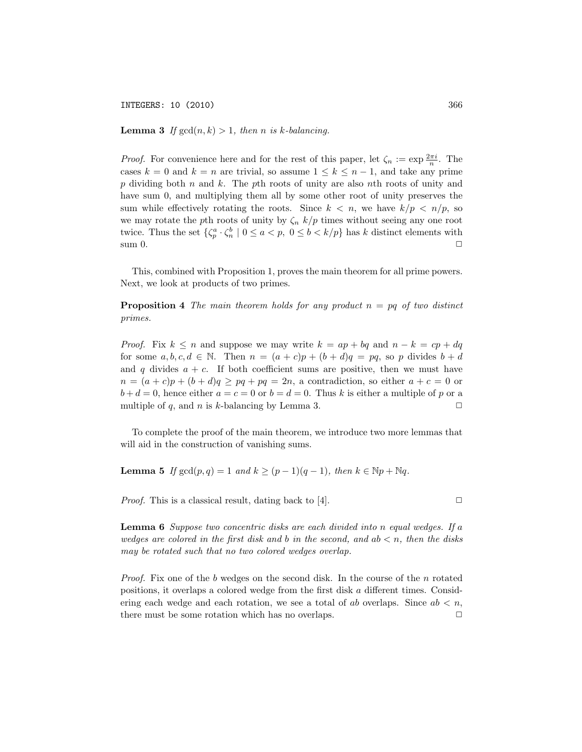INTEGERS: 10 (2010) 366

**Lemma 3** If  $gcd(n, k) > 1$ , then *n* is *k*-balancing.

*Proof.* For convenience here and for the rest of this paper, let  $\zeta_n := \exp \frac{2\pi i}{n}$ . The cases  $k = 0$  and  $k = n$  are trivial, so assume  $1 \leq k \leq n - 1$ , and take any prime *p* dividing both *n* and *k*. The *p*th roots of unity are also *n*th roots of unity and have sum 0, and multiplying them all by some other root of unity preserves the sum while effectively rotating the roots. Since  $k < n$ , we have  $k/p < n/p$ , so we may rotate the *p*th roots of unity by  $\zeta_n$  *k/p* times without seeing any one root twice. Thus the set  $\{\zeta_p^a \cdot \zeta_n^b \mid 0 \le a < p, 0 \le b < k/p\}$  has *k* distinct elements with sum 0.  $\Box$ 

This, combined with Proposition 1, proves the main theorem for all prime powers. Next, we look at products of two primes.

Proposition 4 *The main theorem holds for any product n* = *pq of two distinct primes.*

*Proof.* Fix  $k \leq n$  and suppose we may write  $k = ap + bq$  and  $n - k = cp + dq$ for some  $a, b, c, d \in \mathbb{N}$ . Then  $n = (a + c)p + (b + d)q = pq$ , so p divides  $b + d$ and  $q$  divides  $a + c$ . If both coefficient sums are positive, then we must have  $n = (a + c)p + (b + d)q \ge pq + pq = 2n$ , a contradiction, so either  $a + c = 0$  or  $b + d = 0$ , hence either  $a = c = 0$  or  $b = d = 0$ . Thus *k* is either a multiple of *p* or a multiple of  $q$ , and  $n$  is  $k$ -balancing by Lemma 3.

To complete the proof of the main theorem, we introduce two more lemmas that will aid in the construction of vanishing sums.

**Lemma 5** *If* gcd(*p*, *q*) = 1 *and*  $k$  ≥ (*p* − 1)(*q* − 1)*, then*  $k \in \mathbb{N}p + \mathbb{N}q$ *.* 

*Proof.* This is a classical result, dating back to [4].  $\Box$ 

Lemma 6 *Suppose two concentric disks are each divided into n equal wedges. If a wedges* are *colored* in the first disk and b in the second, and  $ab < n$ , then the disks *may be rotated such that no two colored wedges overlap.*

*Proof.* Fix one of the *b* wedges on the second disk. In the course of the *n* rotated positions, it overlaps a colored wedge from the first disk *a* different times. Considering each wedge and each rotation, we see a total of *ab* overlaps. Since  $ab < n$ , there must be some rotation which has no overlaps.  $\Box$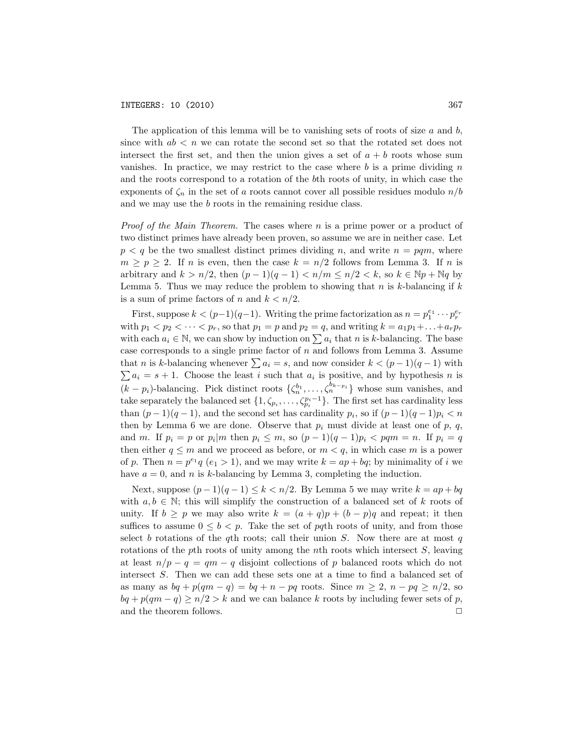The application of this lemma will be to vanishing sets of roots of size *a* and *b*, since with  $ab < n$  we can rotate the second set so that the rotated set does not intersect the first set, and then the union gives a set of  $a + b$  roots whose sum vanishes. In practice, we may restrict to the case where *b* is a prime dividing *n* and the roots correspond to a rotation of the *b*th roots of unity, in which case the exponents of  $\zeta_n$  in the set of *a* roots cannot cover all possible residues modulo  $n/b$ and we may use the *b* roots in the remaining residue class.

*Proof of the Main Theorem.* The cases where *n* is a prime power or a product of two distinct primes have already been proven, so assume we are in neither case. Let  $p < q$  be the two smallest distinct primes dividing *n*, and write  $n = pqm$ , where  $m \geq p \geq 2$ . If *n* is even, then the case  $k = n/2$  follows from Lemma 3. If *n* is arbitrary and  $k > n/2$ , then  $(p-1)(q-1) < n/m \leq n/2 < k$ , so  $k \in \mathbb{N}p + \mathbb{N}q$  by Lemma 5. Thus we may reduce the problem to showing that *n* is *k*-balancing if *k* is a sum of prime factors of *n* and  $k < n/2$ .

First, suppose  $k < (p-1)(q-1)$ . Writing the prime factorization as  $n = p_1^{e_1} \cdots p_r^{e_r}$ with  $p_1 < p_2 < \cdots < p_r$ , so that  $p_1 = p$  and  $p_2 = q$ , and writing  $k = a_1p_1 + \cdots + a_rp_r$ with each  $a_i \in \mathbb{N}$ , we can show by induction on  $\sum a_i$  that *n* is *k*-balancing. The base case corresponds to a single prime factor of *n* and follows from Lemma 3. Assume that *n* is *k*-balancing whenever  $\sum a_i = s$ , and now consider  $k < (p-1)(q-1)$  with  $\sum a_i = s + 1$ . Choose the least *i* such that  $a_i$  is positive, and by hypothesis *n* is  $(k - p_i)$ -balancing. Pick distinct roots  $\{\zeta_n^{b_1}, \ldots, \zeta_n^{b_{k-p_i}}\}$  whose sum vanishes, and take separately the balanced set  $\{1, \zeta_{p_i}, \ldots, \zeta_{p_i}^{p_i-1}\}$ . The first set has cardinality less than  $(p-1)(q-1)$ , and the second set has cardinality  $p_i$ , so if  $(p-1)(q-1)p_i < n$ then by Lemma 6 we are done. Observe that  $p_i$  must divide at least one of  $p$ ,  $q$ , and m. If  $p_i = p$  or  $p_i | m$  then  $p_i \leq m$ , so  $(p-1)(q-1)p_i < pqm = n$ . If  $p_i = q$ then either  $q \leq m$  and we proceed as before, or  $m < q$ , in which case m is a power of *p*. Then  $n = p^{e_1}q$  ( $e_1 > 1$ ), and we may write  $k = ap + bq$ ; by minimality of *i* we have  $a = 0$ , and *n* is *k*-balancing by Lemma 3, completing the induction.

Next, suppose  $(p-1)(q-1)$  ≤  $k < n/2$ . By Lemma 5 we may write  $k = ap + bq$ with  $a, b \in \mathbb{N}$ ; this will simplify the construction of a balanced set of k roots of unity. If  $b \geq p$  we may also write  $k = (a + q)p + (b - p)q$  and repeat; it then suffices to assume  $0 \leq b < p$ . Take the set of *pq*th roots of unity, and from those select *b* rotations of the *q*th roots; call their union *S*. Now there are at most *q* rotations of the *p*th roots of unity among the *n*th roots which intersect *S*, leaving at least  $n/p - q = qm - q$  disjoint collections of p balanced roots which do not intersect *S*. Then we can add these sets one at a time to find a balanced set of as many as  $bq + p(qm - q) = bq + n - pq$  roots. Since  $m \geq 2$ ,  $n - pq \geq n/2$ , so  $bq + p(qm - q) \ge n/2 > k$  and we can balance *k* roots by including fewer sets of *p*, and the theorem follows.  $\hfill\Box$